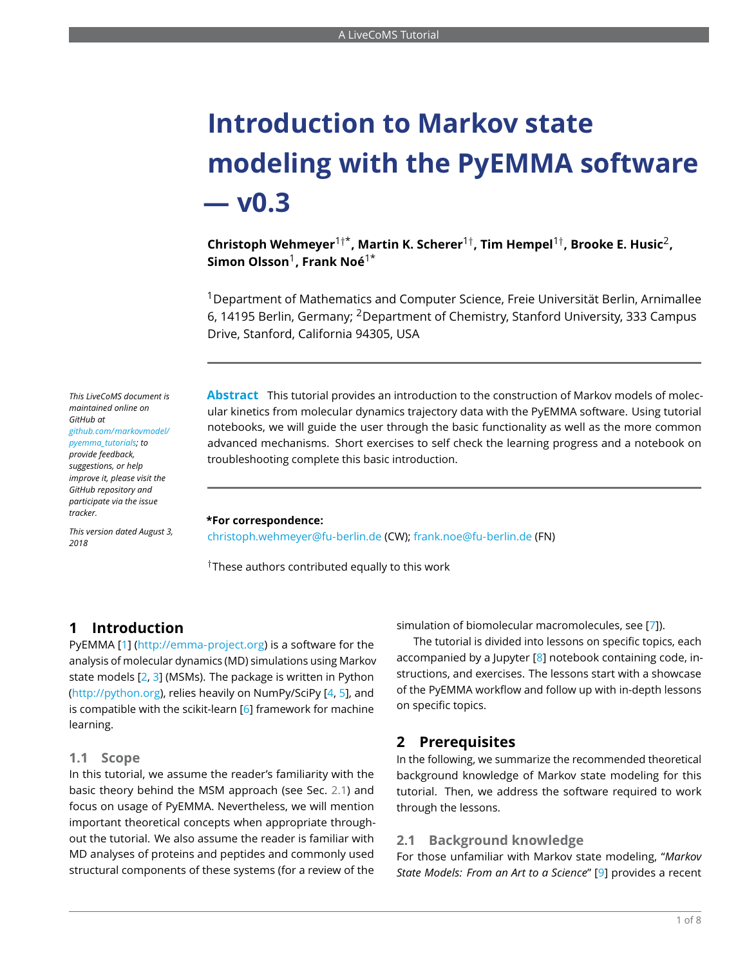# **Introduction to Markov state modeling with the PyEMMA software — v0.3**

**Christoph Wehmeyer**1†\* **, Martin K. Scherer**1† **, Tim Hempel**1† **, Brooke E. Husic**<sup>2</sup> **, Simon Olsson**<sup>1</sup> **, Frank Noé**1\*

<sup>1</sup>Department of Mathematics and Computer Science, Freie Universität Berlin, Arnimallee 6, 14195 Berlin, Germany; <sup>2</sup>Department of Chemistry, Stanford University, 333 Campus Drive, Stanford, California 94305, USA

*This LiveCoMS document is maintained online on GitHub at [github.com/markovmodel/](github.com/markovmodel/pyemma_tutorials) [pyemma\\_tutorials;](github.com/markovmodel/pyemma_tutorials) to provide feedback, suggestions, or help improve it, please visit the GitHub repository and participate via the issue tracker.*

*This version dated August 3, 2018*

**Abstract** This tutorial provides an introduction to the construction of Markov models of molecular kinetics from molecular dynamics trajectory data with the PyEMMA software. Using tutorial notebooks, we will guide the user through the basic functionality as well as the more common advanced mechanisms. Short exercises to self check the learning progress and a notebook on troubleshooting complete this basic introduction.

#### **\*For correspondence:**

<christoph.wehmeyer@fu-berlin.de> (CW); <frank.noe@fu-berlin.de> (FN)

 $^\dagger$ These authors contributed equally to this work

## **1 Introduction**

PyEMMA [\[1\]](#page-5-0) [\(http://emma-project.org\)](http://emma-project.org) is a software for the analysis of molecular dynamics (MD) simulations using Markov state models  $[2, 3]$  $[2, 3]$  $[2, 3]$  (MSMs). The package is written in Python [\(http://python.org\)](http://python.org), relies heavily on NumPy/SciPy [\[4,](#page-5-3) [5\]](#page-5-4), and is compatible with the scikit-learn [\[6\]](#page-5-5) framework for machine learning.

#### **1.1 Scope**

In this tutorial, we assume the reader's familiarity with the basic theory behind the MSM approach (see Sec. [2.1\)](#page-0-0) and focus on usage of PyEMMA. Nevertheless, we will mention important theoretical concepts when appropriate throughout the tutorial. We also assume the reader is familiar with MD analyses of proteins and peptides and commonly used structural components of these systems (for a review of the

simulation of biomolecular macromolecules, see [\[7\]](#page-5-6)).

The tutorial is divided into lessons on specific topics, each accompanied by a Jupyter [\[8\]](#page-6-0) notebook containing code, instructions, and exercises. The lessons start with a showcase of the PyEMMA workflow and follow up with in-depth lessons on specific topics.

#### **2 Prerequisites**

In the following, we summarize the recommended theoretical background knowledge of Markov state modeling for this tutorial. Then, we address the software required to work through the lessons.

#### <span id="page-0-0"></span>**2.1 Background knowledge**

For those unfamiliar with Markov state modeling, "*Markov State Models: From an Art to a Science*" [\[9\]](#page-6-1) provides a recent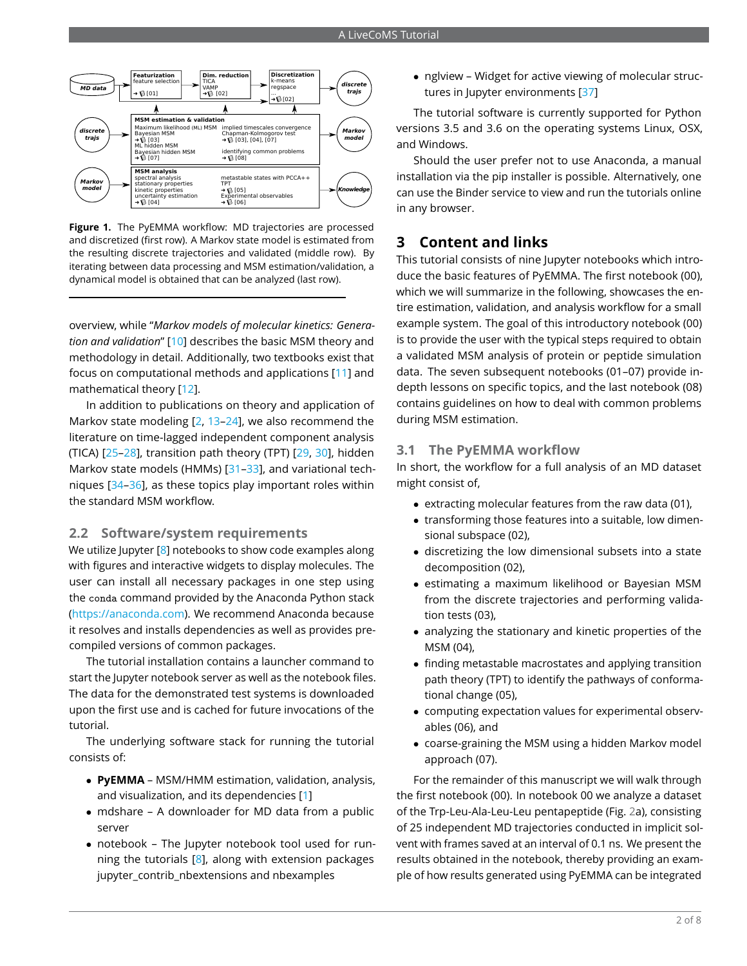

**Figure 1.** The PyEMMA workflow: MD trajectories are processed and discretized (first row). A Markov state model is estimated from the resulting discrete trajectories and validated (middle row). By iterating between data processing and MSM estimation/validation, a dynamical model is obtained that can be analyzed (last row).

overview, while "*Markov models of molecular kinetics: Generation and validation*" [\[10\]](#page-6-2) describes the basic MSM theory and methodology in detail. Additionally, two textbooks exist that focus on computational methods and applications [\[11\]](#page-6-3) and mathematical theory [\[12\]](#page-6-4).

In addition to publications on theory and application of Markov state modeling [\[2,](#page-5-1) [13–](#page-6-5)[24\]](#page-6-6), we also recommend the literature on time-lagged independent component analysis (TICA) [\[25–](#page-6-7)[28\]](#page-6-8), transition path theory (TPT) [\[29,](#page-6-9) [30\]](#page-6-10), hidden Markov state models (HMMs) [\[31–](#page-6-11)[33\]](#page-7-1), and variational techniques [\[34](#page-7-2)[–36\]](#page-7-3), as these topics play important roles within the standard MSM workflow.

#### **2.2 Software/system requirements**

We utilize Jupyter [\[8\]](#page-6-0) notebooks to show code examples along with figures and interactive widgets to display molecules. The user can install all necessary packages in one step using the conda command provided by the Anaconda Python stack [\(https://anaconda.com\)](https://anaconda.com). We recommend Anaconda because it resolves and installs dependencies as well as provides precompiled versions of common packages.

The tutorial installation contains a launcher command to start the Jupyter notebook server as well as the notebook files. The data for the demonstrated test systems is downloaded upon the first use and is cached for future invocations of the tutorial.

The underlying software stack for running the tutorial consists of:

- **PyEMMA** MSM/HMM estimation, validation, analysis, and visualization, and its dependencies [\[1\]](#page-5-0)
- mdshare A downloader for MD data from a public server
- notebook The Jupyter notebook tool used for running the tutorials  $[8]$ , along with extension packages jupyter\_contrib\_nbextensions and nbexamples

• nglview – Widget for active viewing of molecular struc-tures in Jupyter environments [\[37\]](#page-7-4)

The tutorial software is currently supported for Python versions 3.5 and 3.6 on the operating systems Linux, OSX, and Windows.

Should the user prefer not to use Anaconda, a manual installation via the pip installer is possible. Alternatively, one can use the Binder service to view and run the tutorials online in any browser.

## **3 Content and links**

This tutorial consists of nine Jupyter notebooks which introduce the basic features of PyEMMA. The first notebook (00), which we will summarize in the following, showcases the entire estimation, validation, and analysis workflow for a small example system. The goal of this introductory notebook (00) is to provide the user with the typical steps required to obtain a validated MSM analysis of protein or peptide simulation data. The seven subsequent notebooks (01–07) provide indepth lessons on specific topics, and the last notebook (08) contains guidelines on how to deal with common problems during MSM estimation.

#### **3.1 The PyEMMA workflow**

In short, the workflow for a full analysis of an MD dataset might consist of,

- extracting molecular features from the raw data (01),
- transforming those features into a suitable, low dimensional subspace (02),
- discretizing the low dimensional subsets into a state decomposition (02),
- estimating a maximum likelihood or Bayesian MSM from the discrete trajectories and performing validation tests (03),
- analyzing the stationary and kinetic properties of the MSM (04),
- finding metastable macrostates and applying transition path theory (TPT) to identify the pathways of conformational change (05),
- computing expectation values for experimental observables (06), and
- coarse-graining the MSM using a hidden Markov model approach (07).

For the remainder of this manuscript we will walk through the first notebook (00). In notebook 00 we analyze a dataset of the Trp-Leu-Ala-Leu-Leu pentapeptide (Fig. [2a](#page-2-0)), consisting of 25 independent MD trajectories conducted in implicit solvent with frames saved at an interval of 0.1 ns. We present the results obtained in the notebook, thereby providing an example of how results generated using PyEMMA can be integrated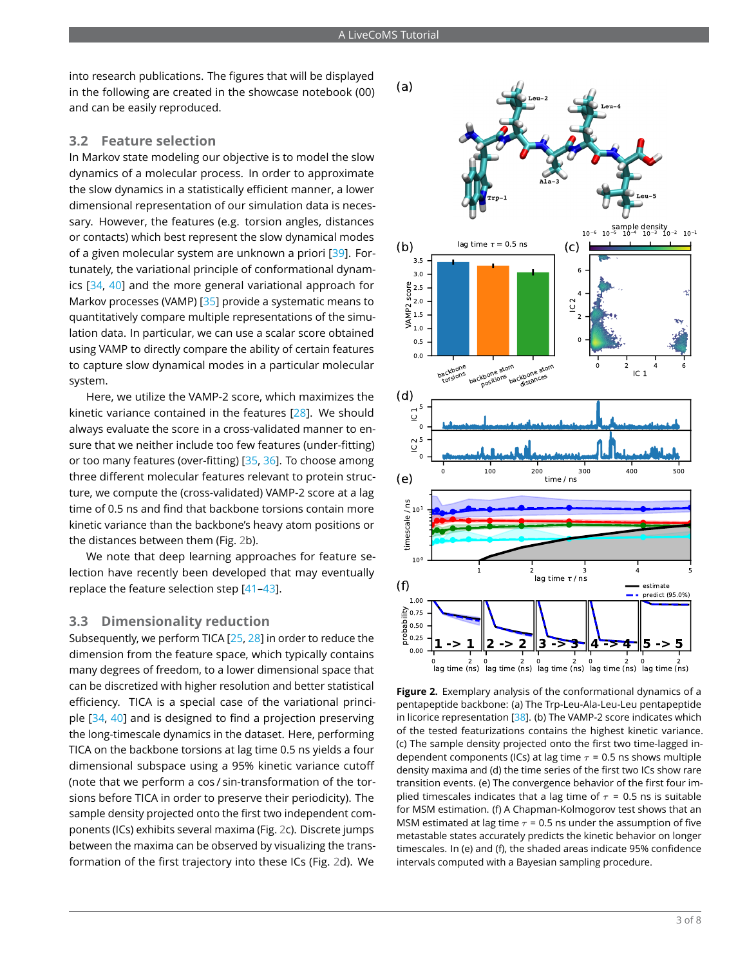into research publications. The figures that will be displayed in the following are created in the showcase notebook (00) and can be easily reproduced.

#### **3.2 Feature selection**

In Markov state modeling our objective is to model the slow dynamics of a molecular process. In order to approximate the slow dynamics in a statistically efficient manner, a lower dimensional representation of our simulation data is necessary. However, the features (e.g. torsion angles, distances or contacts) which best represent the slow dynamical modes of a given molecular system are unknown a priori [\[39\]](#page-7-5). Fortunately, the variational principle of conformational dynamics [\[34,](#page-7-2) [40\]](#page-7-6) and the more general variational approach for Markov processes (VAMP) [\[35\]](#page-7-7) provide a systematic means to quantitatively compare multiple representations of the simulation data. In particular, we can use a scalar score obtained using VAMP to directly compare the ability of certain features to capture slow dynamical modes in a particular molecular system.

Here, we utilize the VAMP-2 score, which maximizes the kinetic variance contained in the features [\[28\]](#page-6-8). We should always evaluate the score in a cross-validated manner to ensure that we neither include too few features (under-fitting) or too many features (over-fitting) [\[35,](#page-7-7) [36\]](#page-7-3). To choose among three different molecular features relevant to protein structure, we compute the (cross-validated) VAMP-2 score at a lag time of 0.5 ns and find that backbone torsions contain more kinetic variance than the backbone's heavy atom positions or the distances between them (Fig. [2b](#page-2-0)).

We note that deep learning approaches for feature selection have recently been developed that may eventually replace the feature selection step [\[41–](#page-7-8)[43\]](#page-7-9).

#### **3.3 Dimensionality reduction**

Subsequently, we perform TICA [\[25,](#page-6-7) [28\]](#page-6-8) in order to reduce the dimension from the feature space, which typically contains many degrees of freedom, to a lower dimensional space that can be discretized with higher resolution and better statistical efficiency. TICA is a special case of the variational principle [\[34,](#page-7-2) [40\]](#page-7-6) and is designed to find a projection preserving the long-timescale dynamics in the dataset. Here, performing TICA on the backbone torsions at lag time 0.5 ns yields a four dimensional subspace using a 95% kinetic variance cutoff (note that we perform a cos / sin-transformation of the torsions before TICA in order to preserve their periodicity). The sample density projected onto the first two independent components (ICs) exhibits several maxima (Fig. [2c](#page-2-0)). Discrete jumps between the maxima can be observed by visualizing the transformation of the first trajectory into these ICs (Fig. [2d](#page-2-0)). We

<span id="page-2-0"></span>

**Figure 2.** Exemplary analysis of the conformational dynamics of a pentapeptide backbone: (a) The Trp-Leu-Ala-Leu-Leu pentapeptide in licorice representation [\[38\]](#page-7-10). (b) The VAMP-2 score indicates which of the tested featurizations contains the highest kinetic variance. (c) The sample density projected onto the first two time-lagged independent components (ICs) at lag time  $\tau$  = 0.5 ns shows multiple density maxima and (d) the time series of the first two ICs show rare transition events. (e) The convergence behavior of the first four implied timescales indicates that a lag time of  $\tau$  = 0.5 ns is suitable for MSM estimation. (f) A Chapman-Kolmogorov test shows that an MSM estimated at lag time  $\tau$  = 0.5 ns under the assumption of five metastable states accurately predicts the kinetic behavior on longer timescales. In (e) and (f), the shaded areas indicate 95% confidence intervals computed with a Bayesian sampling procedure.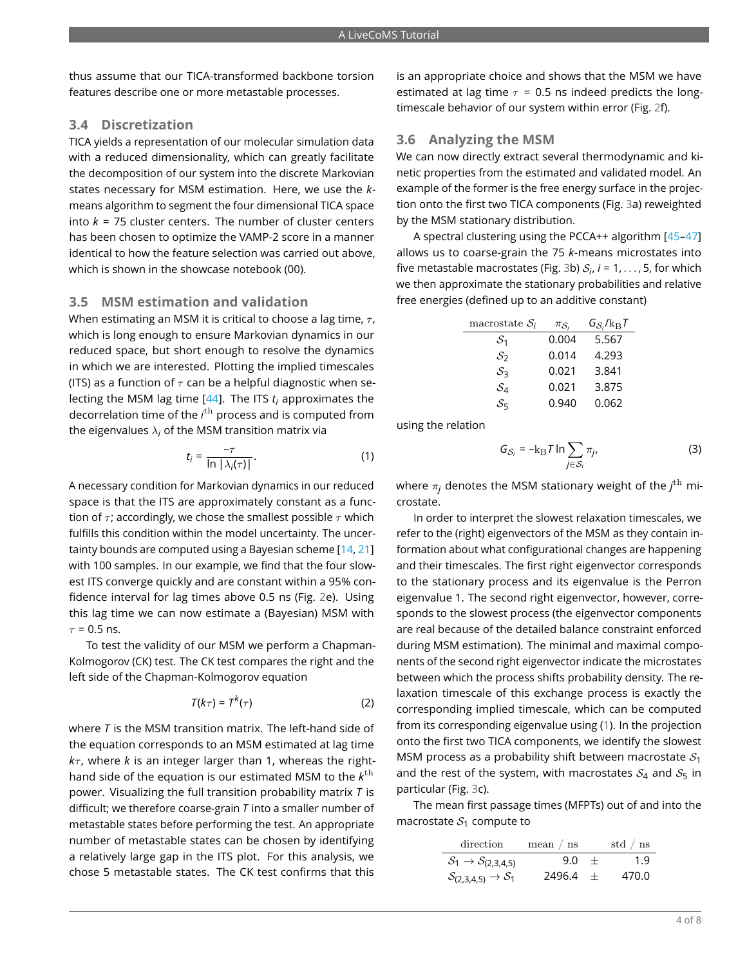thus assume that our TICA-transformed backbone torsion features describe one or more metastable processes.

#### **3.4 Discretization**

TICA yields a representation of our molecular simulation data with a reduced dimensionality, which can greatly facilitate the decomposition of our system into the discrete Markovian states necessary for MSM estimation. Here, we use the *k*means algorithm to segment the four dimensional TICA space into *k* = 75 cluster centers. The number of cluster centers has been chosen to optimize the VAMP-2 score in a manner identical to how the feature selection was carried out above, which is shown in the showcase notebook (00).

#### **3.5 MSM estimation and validation**

When estimating an MSM it is critical to choose a lag time,  $\tau$ . which is long enough to ensure Markovian dynamics in our reduced space, but short enough to resolve the dynamics in which we are interested. Plotting the implied timescales (ITS) as a function of  $\tau$  can be a helpful diagnostic when selecting the MSM lag time [\[44\]](#page-7-11). The ITS *t<sup>i</sup>* approximates the decorrelation time of the *i* th process and is computed from the eigenvalues  $\lambda_i$  of the MSM transition matrix via

$$
t_j = \frac{-\tau}{\ln|\lambda_j(\tau)|}.
$$
 (1)

A necessary condition for Markovian dynamics in our reduced space is that the ITS are approximately constant as a function of  $\tau$ ; accordingly, we chose the smallest possible  $\tau$  which fulfills this condition within the model uncertainty. The uncertainty bounds are computed using a Bayesian scheme [\[14,](#page-6-12) [21\]](#page-6-13) with 100 samples. In our example, we find that the four slowest ITS converge quickly and are constant within a 95% confidence interval for lag times above 0.5 ns (Fig. [2e](#page-2-0)). Using this lag time we can now estimate a (Bayesian) MSM with  $\tau$  = 0.5 ns.

To test the validity of our MSM we perform a Chapman-Kolmogorov (CK) test. The CK test compares the right and the left side of the Chapman-Kolmogorov equation

$$
T(k_{\tau}) = T^k(\tau) \tag{2}
$$

where *T* is the MSM transition matrix. The left-hand side of the equation corresponds to an MSM estimated at lag time  $k<sub>\tau</sub>$ , where *k* is an integer larger than 1, whereas the righthand side of the equation is our estimated MSM to the  $k^{\rm th}$ power. Visualizing the full transition probability matrix *T* is difficult; we therefore coarse-grain *T* into a smaller number of metastable states before performing the test. An appropriate number of metastable states can be chosen by identifying a relatively large gap in the ITS plot. For this analysis, we chose 5 metastable states. The CK test confirms that this

is an appropriate choice and shows that the MSM we have estimated at lag time  $\tau$  = 0.5 ns indeed predicts the longtimescale behavior of our system within error (Fig. [2f](#page-2-0)).

#### **3.6 Analyzing the MSM**

We can now directly extract several thermodynamic and kinetic properties from the estimated and validated model. An example of the former is the free energy surface in the projection onto the first two TICA components (Fig. [3a](#page-4-0)) reweighted by the MSM stationary distribution.

A spectral clustering using the PCCA++ algorithm [\[45](#page-7-12)[–47\]](#page-7-13) allows us to coarse-grain the 75 *k*-means microstates into five metastable macrostates (Fig. [3b](#page-4-0))  $S_i$ ,  $i = 1, \ldots, 5$ , for which we then approximate the stationary probabilities and relative free energies (defined up to an additive constant)

| macrostate $S_i$ | $\pi_{\mathcal{S}_i}$ | $G_{\mathcal{S}_i}/k_\text{B}T$ |
|------------------|-----------------------|---------------------------------|
| $S_1$            | 0.004                 | 5.567                           |
| $\mathcal{S}_2$  | 0.014                 | 4.293                           |
| $S_3$            | 0.021                 | 3.841                           |
| $\mathcal{S}_4$  | 0.021                 | 3.875                           |
| $\mathcal{S}_5$  | 0.940                 | 0.062                           |

<span id="page-3-0"></span>using the relation

$$
G_{S_i} = -k_{\rm B} T \ln \sum_{j \in S_i} \pi_{j}, \tag{3}
$$

where  $\pi_{\mathit{l}}$  denotes the MSM stationary weight of the  $\mathit{l}^{\text{th}}$  microstate.

In order to interpret the slowest relaxation timescales, we refer to the (right) eigenvectors of the MSM as they contain information about what configurational changes are happening and their timescales. The first right eigenvector corresponds to the stationary process and its eigenvalue is the Perron eigenvalue 1. The second right eigenvector, however, corresponds to the slowest process (the eigenvector components are real because of the detailed balance constraint enforced during MSM estimation). The minimal and maximal components of the second right eigenvector indicate the microstates between which the process shifts probability density. The relaxation timescale of this exchange process is exactly the corresponding implied timescale, which can be computed from its corresponding eigenvalue using [\(1\)](#page-3-0). In the projection onto the first two TICA components, we identify the slowest MSM process as a probability shift between macrostate  $S_1$ and the rest of the system, with macrostates  $S_4$  and  $S_5$  in particular (Fig. [3c](#page-4-0)).

The mean first passage times (MFPTs) out of and into the macrostate  $S_1$  compute to

| direction                                           | mean $/\;$ ns | std $/$ ns |
|-----------------------------------------------------|---------------|------------|
| $S_1 \rightarrow S_{(2,3,4,5)}$                     | $9.0 +$       | 1.9        |
| $\mathcal{S}_{(2,3,4,5)} \rightarrow \mathcal{S}_1$ | $2496.4 +$    | 470.0      |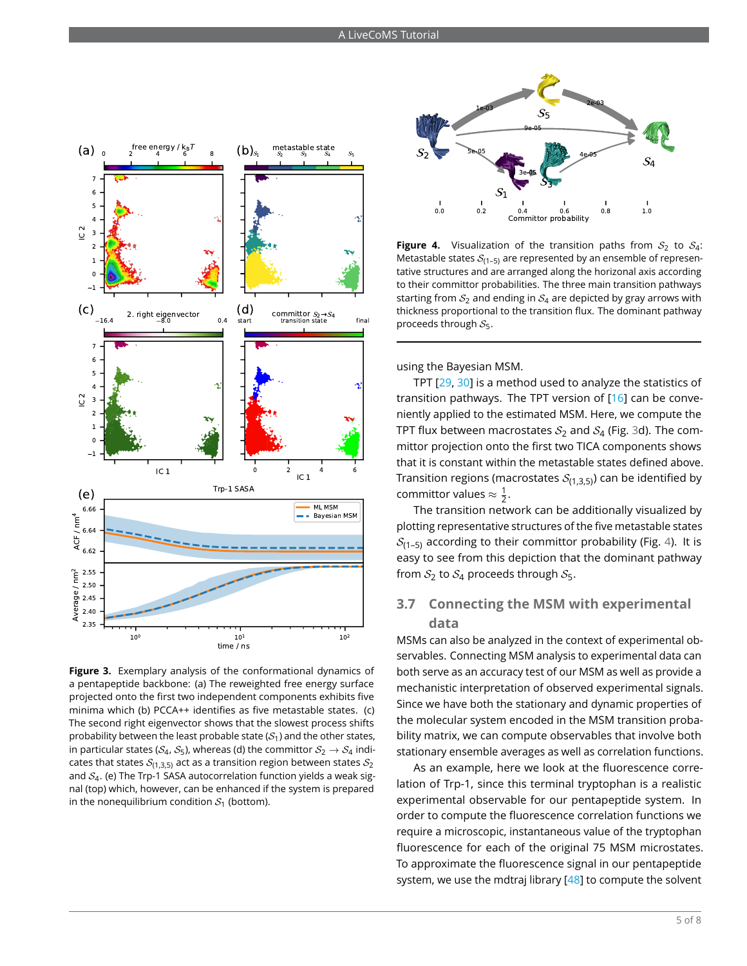<span id="page-4-0"></span>

**Figure 3.** Exemplary analysis of the conformational dynamics of a pentapeptide backbone: (a) The reweighted free energy surface projected onto the first two independent components exhibits five minima which (b) PCCA++ identifies as five metastable states. (c) The second right eigenvector shows that the slowest process shifts probability between the least probable state  $(S_1)$  and the other states, in particular states ( $S_4$ ,  $S_5$ ), whereas (d) the committor  $S_2 \rightarrow S_4$  indicates that states  $\mathcal{S}_{(1,3,5)}$  act as a transition region between states  $\mathcal{S}_2$ and  $S_4$ . (e) The Trp-1 SASA autocorrelation function yields a weak signal (top) which, however, can be enhanced if the system is prepared in the nonequilibrium condition  $S_1$  (bottom).

<span id="page-4-1"></span>

**Figure 4.** Visualization of the transition paths from  $S_2$  to  $S_4$ : Metastable states  $S_{(1-5)}$  are represented by an ensemble of representative structures and are arranged along the horizonal axis according to their committor probabilities. The three main transition pathways starting from  $S_2$  and ending in  $S_4$  are depicted by gray arrows with thickness proportional to the transition flux. The dominant pathway proceeds through  $S_5$ .

using the Bayesian MSM.

TPT [\[29,](#page-6-9) [30\]](#page-6-10) is a method used to analyze the statistics of transition pathways. The TPT version of [\[16\]](#page-6-14) can be conveniently applied to the estimated MSM. Here, we compute the TPT flux between macrostates  $S_2$  and  $S_4$  (Fig. [3d](#page-4-0)). The committor projection onto the first two TICA components shows that it is constant within the metastable states defined above. Transition regions (macrostates  $S_{(1,3,5)}$ ) can be identified by committor values  $\approx \frac{1}{2}$ .

The transition network can be additionally visualized by plotting representative structures of the five metastable states  $S_{(1-5)}$  according to their committor probability (Fig. [4\)](#page-4-1). It is easy to see from this depiction that the dominant pathway from  $S_2$  to  $S_4$  proceeds through  $S_5$ .

### **3.7 Connecting the MSM with experimental data**

MSMs can also be analyzed in the context of experimental observables. Connecting MSM analysis to experimental data can both serve as an accuracy test of our MSM as well as provide a mechanistic interpretation of observed experimental signals. Since we have both the stationary and dynamic properties of the molecular system encoded in the MSM transition probability matrix, we can compute observables that involve both stationary ensemble averages as well as correlation functions.

As an example, here we look at the fluorescence correlation of Trp-1, since this terminal tryptophan is a realistic experimental observable for our pentapeptide system. In order to compute the fluorescence correlation functions we require a microscopic, instantaneous value of the tryptophan fluorescence for each of the original 75 MSM microstates. To approximate the fluorescence signal in our pentapeptide system, we use the mdtraj library [\[48\]](#page-7-14) to compute the solvent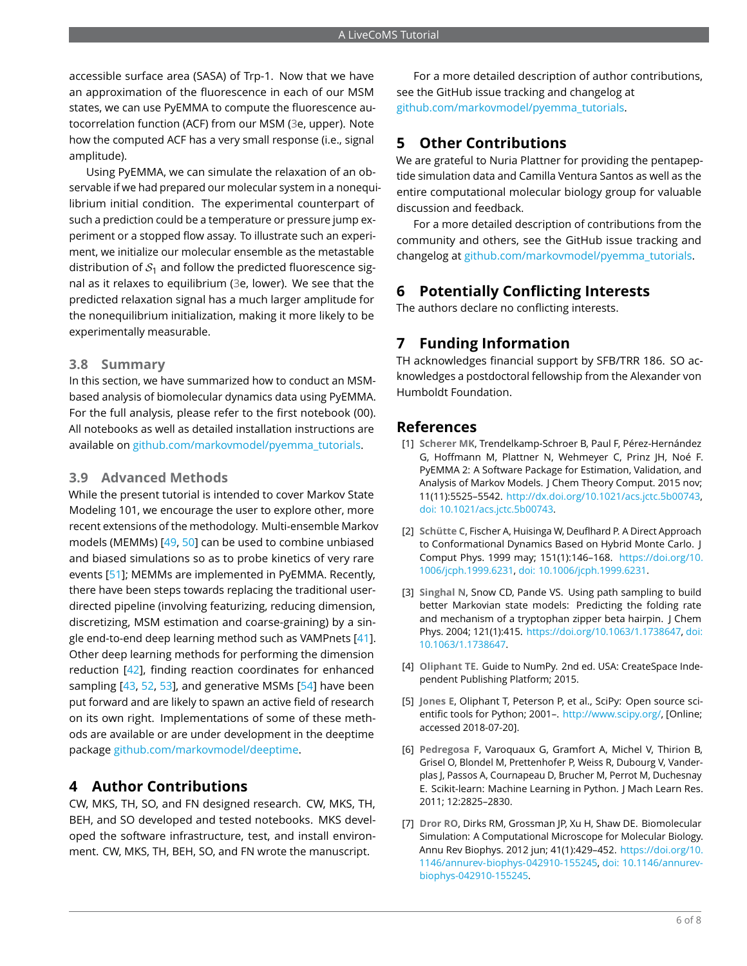accessible surface area (SASA) of Trp-1. Now that we have an approximation of the fluorescence in each of our MSM states, we can use PyEMMA to compute the fluorescence autocorrelation function (ACF) from our MSM [\(3e](#page-4-0), upper). Note how the computed ACF has a very small response (i.e., signal amplitude).

Using PyEMMA, we can simulate the relaxation of an observable if we had prepared our molecular system in a nonequilibrium initial condition. The experimental counterpart of such a prediction could be a temperature or pressure jump experiment or a stopped flow assay. To illustrate such an experiment, we initialize our molecular ensemble as the metastable distribution of  $S_1$  and follow the predicted fluorescence signal as it relaxes to equilibrium [\(3e](#page-4-0), lower). We see that the predicted relaxation signal has a much larger amplitude for the nonequilibrium initialization, making it more likely to be experimentally measurable.

#### **3.8 Summary**

In this section, we have summarized how to conduct an MSMbased analysis of biomolecular dynamics data using PyEMMA. For the full analysis, please refer to the first notebook (00). All notebooks as well as detailed installation instructions are available on [github.com/markovmodel/pyemma\\_tutorials.](github.com/markovmodel/pyemma_tutorials)

#### **3.9 Advanced Methods**

While the present tutorial is intended to cover Markov State Modeling 101, we encourage the user to explore other, more recent extensions of the methodology. Multi-ensemble Markov models (MEMMs) [\[49,](#page-7-15) [50\]](#page-7-16) can be used to combine unbiased and biased simulations so as to probe kinetics of very rare events [\[51\]](#page-7-17); MEMMs are implemented in PyEMMA. Recently, there have been steps towards replacing the traditional userdirected pipeline (involving featurizing, reducing dimension, discretizing, MSM estimation and coarse-graining) by a single end-to-end deep learning method such as VAMPnets [\[41\]](#page-7-8). Other deep learning methods for performing the dimension reduction [\[42\]](#page-7-18), finding reaction coordinates for enhanced sampling [\[43,](#page-7-9) [52,](#page-7-19) [53\]](#page-7-20), and generative MSMs [\[54\]](#page-7-21) have been put forward and are likely to spawn an active field of research on its own right. Implementations of some of these methods are available or are under development in the deeptime package [github.com/markovmodel/deeptime.](github.com/markovmodel/deeptime)

## **4 Author Contributions**

CW, MKS, TH, SO, and FN designed research. CW, MKS, TH, BEH, and SO developed and tested notebooks. MKS developed the software infrastructure, test, and install environment. CW, MKS, TH, BEH, SO, and FN wrote the manuscript.

For a more detailed description of author contributions, see the GitHub issue tracking and changelog at [github.com/markovmodel/pyemma\\_tutorials.](github.com/markovmodel/pyemma_tutorials)

## **5 Other Contributions**

We are grateful to Nuria Plattner for providing the pentapeptide simulation data and Camilla Ventura Santos as well as the entire computational molecular biology group for valuable discussion and feedback.

For a more detailed description of contributions from the community and others, see the GitHub issue tracking and changelog at [github.com/markovmodel/pyemma\\_tutorials.](github.com/markovmodel/pyemma_tutorials)

# **6 Potentially Conflicting Interests**

The authors declare no conflicting interests.

# **7 Funding Information**

TH acknowledges financial support by SFB/TRR 186. SO acknowledges a postdoctoral fellowship from the Alexander von Humboldt Foundation.

## **References**

- <span id="page-5-0"></span>[1] **Scherer MK**, Trendelkamp-Schroer B, Paul F, Pérez-Hernández G, Hoffmann M, Plattner N, Wehmeyer C, Prinz JH, Noé F. PyEMMA 2: A Software Package for Estimation, Validation, and Analysis of Markov Models. J Chem Theory Comput. 2015 nov; 11(11):5525–5542. [http://dx.doi.org/10.1021/acs.jctc.5b00743,](http://dx.doi.org/10.1021/acs.jctc.5b00743) [doi: 10.1021/acs.jctc.5b00743.](https://dx.doi.org/10.1021/acs.jctc.5b00743)
- <span id="page-5-1"></span>[2] **Schütte C**, Fischer A, Huisinga W, Deuflhard P. A Direct Approach to Conformational Dynamics Based on Hybrid Monte Carlo. J Comput Phys. 1999 may; 151(1):146–168. [https://doi.org/10.](https://doi.org/10.1006/jcph.1999.6231) [1006/jcph.1999.6231,](https://doi.org/10.1006/jcph.1999.6231) [doi: 10.1006/jcph.1999.6231.](https://dx.doi.org/10.1006/jcph.1999.6231)
- <span id="page-5-2"></span>[3] **Singhal N**, Snow CD, Pande VS. Using path sampling to build better Markovian state models: Predicting the folding rate and mechanism of a tryptophan zipper beta hairpin. J Chem Phys. 2004; 121(1):415. [https://doi.org/10.1063/1.1738647,](https://doi.org/10.1063/1.1738647) [doi:](https://dx.doi.org/10.1063/1.1738647) [10.1063/1.1738647.](https://dx.doi.org/10.1063/1.1738647)
- <span id="page-5-3"></span>[4] **Oliphant TE**. Guide to NumPy. 2nd ed. USA: CreateSpace Independent Publishing Platform; 2015.
- <span id="page-5-4"></span>[5] **Jones E**, Oliphant T, Peterson P, et al., SciPy: Open source scientific tools for Python; 2001–. [http://www.scipy.org/,](http://www.scipy.org/) [Online; accessed 2018-07-20].
- <span id="page-5-5"></span>[6] **Pedregosa F**, Varoquaux G, Gramfort A, Michel V, Thirion B, Grisel O, Blondel M, Prettenhofer P, Weiss R, Dubourg V, Vanderplas J, Passos A, Cournapeau D, Brucher M, Perrot M, Duchesnay E. Scikit-learn: Machine Learning in Python. J Mach Learn Res. 2011; 12:2825–2830.
- <span id="page-5-6"></span>[7] **Dror RO**, Dirks RM, Grossman JP, Xu H, Shaw DE. Biomolecular Simulation: A Computational Microscope for Molecular Biology. Annu Rev Biophys. 2012 jun; 41(1):429–452. [https://doi.org/10.](https://doi.org/10.1146/annurev-biophys-042910-155245) [1146/annurev-biophys-042910-155245,](https://doi.org/10.1146/annurev-biophys-042910-155245) [doi: 10.1146/annurev](https://dx.doi.org/10.1146/annurev-biophys-042910-155245)[biophys-042910-155245.](https://dx.doi.org/10.1146/annurev-biophys-042910-155245)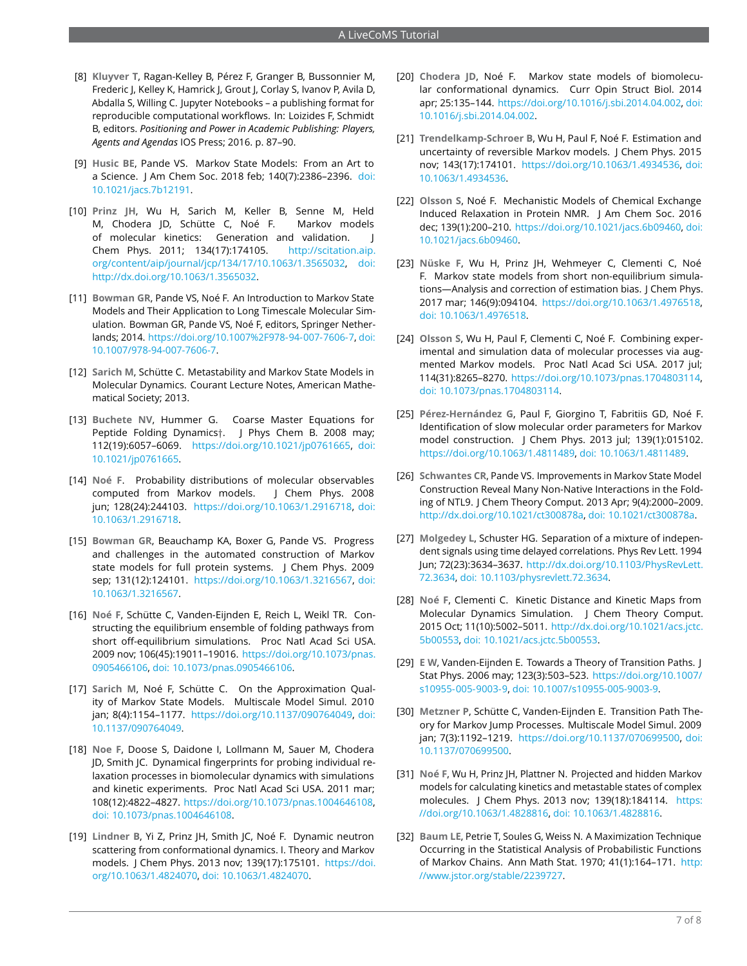- <span id="page-6-0"></span>[8] **Kluyver T**, Ragan-Kelley B, Pérez F, Granger B, Bussonnier M, Frederic J, Kelley K, Hamrick J, Grout J, Corlay S, Ivanov P, Avila D, Abdalla S, Willing C. Jupyter Notebooks – a publishing format for reproducible computational workflows. In: Loizides F, Schmidt B, editors. *Positioning and Power in Academic Publishing: Players, Agents and Agendas* IOS Press; 2016. p. 87–90.
- <span id="page-6-1"></span>[9] **Husic BE**, Pande VS. Markov State Models: From an Art to a Science. J Am Chem Soc. 2018 feb; 140(7):2386–2396. [doi:](https://dx.doi.org/10.1021/jacs.7b12191) [10.1021/jacs.7b12191.](https://dx.doi.org/10.1021/jacs.7b12191)
- <span id="page-6-2"></span>[10] **Prinz JH**, Wu H, Sarich M, Keller B, Senne M, Held M, Chodera JD, Schütte C, Noé F. Markov models of molecular kinetics: Generation and validation. J Chem Phys. 2011; 134(17):174105. [http://scitation.aip.](http://scitation.aip.org/content/aip/journal/jcp/134/17/10.1063/1.3565032) [org/content/aip/journal/jcp/134/17/10.1063/1.3565032,](http://scitation.aip.org/content/aip/journal/jcp/134/17/10.1063/1.3565032) [doi:](https://dx.doi.org/http://dx.doi.org/10.1063/1.3565032) [http://dx.doi.org/10.1063/1.3565032.](https://dx.doi.org/http://dx.doi.org/10.1063/1.3565032)
- <span id="page-6-3"></span>[11] **Bowman GR**, Pande VS, Noé F. An Introduction to Markov State Models and Their Application to Long Timescale Molecular Simulation. Bowman GR, Pande VS, Noé F, editors, Springer Netherlands; 2014. [https://doi.org/10.1007%2F978-94-007-7606-7,](https://doi.org/10.1007%2F978-94-007-7606-7) [doi:](https://dx.doi.org/10.1007/978-94-007-7606-7) [10.1007/978-94-007-7606-7.](https://dx.doi.org/10.1007/978-94-007-7606-7)
- <span id="page-6-4"></span>[12] **Sarich M**, Schütte C. Metastability and Markov State Models in Molecular Dynamics. Courant Lecture Notes, American Mathematical Society; 2013.
- <span id="page-6-5"></span>[13] **Buchete NV**, Hummer G. Coarse Master Equations for Peptide Folding Dynamics†. J Phys Chem B. 2008 may; 112(19):6057–6069. [https://doi.org/10.1021/jp0761665,](https://doi.org/10.1021/jp0761665) [doi:](https://dx.doi.org/10.1021/jp0761665) [10.1021/jp0761665.](https://dx.doi.org/10.1021/jp0761665)
- <span id="page-6-12"></span>[14] **Noé F**. Probability distributions of molecular observables computed from Markov models. J Chem Phys. 2008 jun; 128(24):244103. [https://doi.org/10.1063/1.2916718,](https://doi.org/10.1063/1.2916718) [doi:](https://dx.doi.org/10.1063/1.2916718) [10.1063/1.2916718.](https://dx.doi.org/10.1063/1.2916718)
- [15] **Bowman GR**, Beauchamp KA, Boxer G, Pande VS. Progress and challenges in the automated construction of Markov state models for full protein systems. J Chem Phys. 2009 sep; 131(12):124101. [https://doi.org/10.1063/1.3216567,](https://doi.org/10.1063/1.3216567) [doi:](https://dx.doi.org/10.1063/1.3216567) [10.1063/1.3216567.](https://dx.doi.org/10.1063/1.3216567)
- <span id="page-6-14"></span>[16] **Noé F**, Schütte C, Vanden-Eijnden E, Reich L, Weikl TR. Constructing the equilibrium ensemble of folding pathways from short off-equilibrium simulations. Proc Natl Acad Sci USA. 2009 nov; 106(45):19011–19016. [https://doi.org/10.1073/pnas.](https://doi.org/10.1073/pnas.0905466106) [0905466106,](https://doi.org/10.1073/pnas.0905466106) [doi: 10.1073/pnas.0905466106.](https://dx.doi.org/10.1073/pnas.0905466106)
- [17] **Sarich M**, Noé F, Schütte C. On the Approximation Quality of Markov State Models. Multiscale Model Simul. 2010 jan; 8(4):1154–1177. [https://doi.org/10.1137/090764049,](https://doi.org/10.1137/090764049) [doi:](https://dx.doi.org/10.1137/090764049) [10.1137/090764049.](https://dx.doi.org/10.1137/090764049)
- [18] **Noe F**, Doose S, Daidone I, Lollmann M, Sauer M, Chodera JD, Smith JC. Dynamical fingerprints for probing individual relaxation processes in biomolecular dynamics with simulations and kinetic experiments. Proc Natl Acad Sci USA. 2011 mar; 108(12):4822–4827. [https://doi.org/10.1073/pnas.1004646108,](https://doi.org/10.1073/pnas.1004646108) [doi: 10.1073/pnas.1004646108.](https://dx.doi.org/10.1073/pnas.1004646108)
- [19] **Lindner B**, Yi Z, Prinz JH, Smith JC, Noé F. Dynamic neutron scattering from conformational dynamics. I. Theory and Markov models. J Chem Phys. 2013 nov; 139(17):175101. [https://doi.](https://doi.org/10.1063/1.4824070) [org/10.1063/1.4824070,](https://doi.org/10.1063/1.4824070) [doi: 10.1063/1.4824070.](https://dx.doi.org/10.1063/1.4824070)
- [20] **Chodera JD**, Noé F. Markov state models of biomolecular conformational dynamics. Curr Opin Struct Biol. 2014 apr; 25:135–144. [https://doi.org/10.1016/j.sbi.2014.04.002,](https://doi.org/10.1016/j.sbi.2014.04.002) [doi:](https://dx.doi.org/10.1016/j.sbi.2014.04.002) [10.1016/j.sbi.2014.04.002.](https://dx.doi.org/10.1016/j.sbi.2014.04.002)
- <span id="page-6-13"></span>[21] **Trendelkamp-Schroer B**, Wu H, Paul F, Noé F. Estimation and uncertainty of reversible Markov models. J Chem Phys. 2015 nov; 143(17):174101. [https://doi.org/10.1063/1.4934536,](https://doi.org/10.1063/1.4934536) [doi:](https://dx.doi.org/10.1063/1.4934536) [10.1063/1.4934536.](https://dx.doi.org/10.1063/1.4934536)
- [22] **Olsson S**, Noé F. Mechanistic Models of Chemical Exchange Induced Relaxation in Protein NMR. J Am Chem Soc. 2016 dec; 139(1):200–210. [https://doi.org/10.1021/jacs.6b09460,](https://doi.org/10.1021/jacs.6b09460) [doi:](https://dx.doi.org/10.1021/jacs.6b09460) [10.1021/jacs.6b09460.](https://dx.doi.org/10.1021/jacs.6b09460)
- [23] **Nüske F**, Wu H, Prinz JH, Wehmeyer C, Clementi C, Noé F. Markov state models from short non-equilibrium simulations—Analysis and correction of estimation bias. J Chem Phys. 2017 mar; 146(9):094104. [https://doi.org/10.1063/1.4976518,](https://doi.org/10.1063/1.4976518) [doi: 10.1063/1.4976518.](https://dx.doi.org/10.1063/1.4976518)
- <span id="page-6-6"></span>[24] **Olsson S**, Wu H, Paul F, Clementi C, Noé F. Combining experimental and simulation data of molecular processes via augmented Markov models. Proc Natl Acad Sci USA. 2017 jul; 114(31):8265–8270. [https://doi.org/10.1073/pnas.1704803114,](https://doi.org/10.1073/pnas.1704803114) [doi: 10.1073/pnas.1704803114.](https://dx.doi.org/10.1073/pnas.1704803114)
- <span id="page-6-7"></span>[25] **Pérez-Hernández G**, Paul F, Giorgino T, Fabritiis GD, Noé F. Identification of slow molecular order parameters for Markov model construction. J Chem Phys. 2013 jul; 139(1):015102. [https://doi.org/10.1063/1.4811489,](https://doi.org/10.1063/1.4811489) [doi: 10.1063/1.4811489.](https://dx.doi.org/10.1063/1.4811489)
- [26] **Schwantes CR**, Pande VS. Improvements in Markov State Model Construction Reveal Many Non-Native Interactions in the Folding of NTL9. J Chem Theory Comput. 2013 Apr; 9(4):2000–2009. [http://dx.doi.org/10.1021/ct300878a,](http://dx.doi.org/10.1021/ct300878a) [doi: 10.1021/ct300878a.](https://dx.doi.org/10.1021/ct300878a)
- [27] **Molgedey L**, Schuster HG. Separation of a mixture of independent signals using time delayed correlations. Phys Rev Lett. 1994 Jun; 72(23):3634–3637. [http://dx.doi.org/10.1103/PhysRevLett.](http://dx.doi.org/10.1103/PhysRevLett.72.3634) [72.3634,](http://dx.doi.org/10.1103/PhysRevLett.72.3634) [doi: 10.1103/physrevlett.72.3634.](https://dx.doi.org/10.1103/physrevlett.72.3634)
- <span id="page-6-8"></span>[28] **Noé F**, Clementi C. Kinetic Distance and Kinetic Maps from Molecular Dynamics Simulation. J Chem Theory Comput. 2015 Oct; 11(10):5002–5011. [http://dx.doi.org/10.1021/acs.jctc.](http://dx.doi.org/10.1021/acs.jctc.5b00553) [5b00553,](http://dx.doi.org/10.1021/acs.jctc.5b00553) [doi: 10.1021/acs.jctc.5b00553.](https://dx.doi.org/10.1021/acs.jctc.5b00553)
- <span id="page-6-9"></span>[29] **E W**, Vanden-Eijnden E. Towards a Theory of Transition Paths. J Stat Phys. 2006 may; 123(3):503–523. [https://doi.org/10.1007/](https://doi.org/10.1007/s10955-005-9003-9) [s10955-005-9003-9,](https://doi.org/10.1007/s10955-005-9003-9) [doi: 10.1007/s10955-005-9003-9.](https://dx.doi.org/10.1007/s10955-005-9003-9)
- <span id="page-6-10"></span>[30] **Metzner P**, Schütte C, Vanden-Eijnden E. Transition Path Theory for Markov Jump Processes. Multiscale Model Simul. 2009 jan; 7(3):1192–1219. [https://doi.org/10.1137/070699500,](https://doi.org/10.1137/070699500) [doi:](https://dx.doi.org/10.1137/070699500) [10.1137/070699500.](https://dx.doi.org/10.1137/070699500)
- <span id="page-6-11"></span>[31] **Noé F**, Wu H, Prinz JH, Plattner N. Projected and hidden Markov models for calculating kinetics and metastable states of complex molecules. J Chem Phys. 2013 nov; 139(18):184114. [https:](https://doi.org/10.1063/1.4828816) [//doi.org/10.1063/1.4828816,](https://doi.org/10.1063/1.4828816) [doi: 10.1063/1.4828816.](https://dx.doi.org/10.1063/1.4828816)
- [32] **Baum LE**, Petrie T, Soules G, Weiss N. A Maximization Technique Occurring in the Statistical Analysis of Probabilistic Functions of Markov Chains. Ann Math Stat. 1970; 41(1):164–171. [http:](http://www.jstor.org/stable/2239727) [//www.jstor.org/stable/2239727.](http://www.jstor.org/stable/2239727)